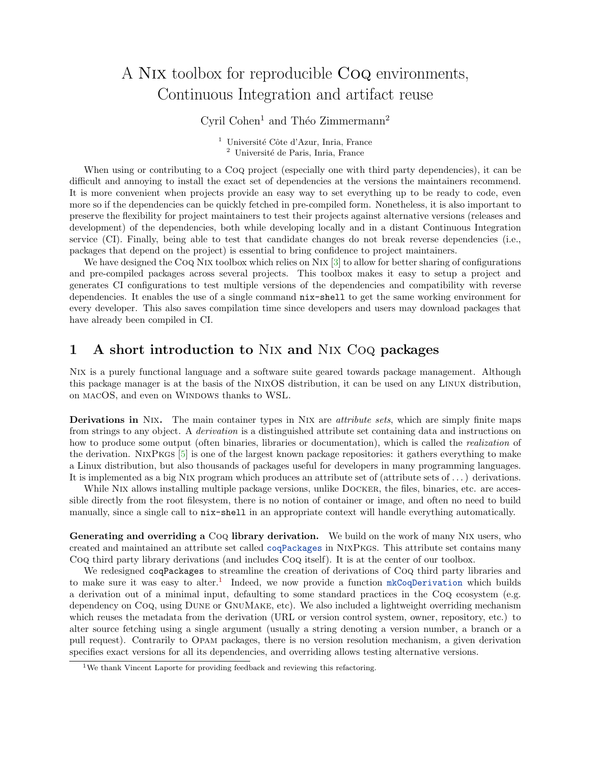## A Nix toolbox for reproducible Coq environments, Continuous Integration and artifact reuse

Cyril Cohen<sup>1</sup> and Théo Zimmermann<sup>2</sup>

<sup>1</sup> Université Côte d'Azur, Inria, France <sup>2</sup> Université de Paris, Inria, France

When using or contributing to a Coq project (especially one with third party dependencies), it can be difficult and annoying to install the exact set of dependencies at the versions the maintainers recommend. It is more convenient when projects provide an easy way to set everything up to be ready to code, even more so if the dependencies can be quickly fetched in pre-compiled form. Nonetheless, it is also important to preserve the flexibility for project maintainers to test their projects against alternative versions (releases and development) of the dependencies, both while developing locally and in a distant Continuous Integration service (CI). Finally, being able to test that candidate changes do not break reverse dependencies (i.e., packages that depend on the project) is essential to bring confidence to project maintainers.

We have designed the Coq NIX toolbox which relies on NIX [\[3\]](#page-1-0) to allow for better sharing of configurations and pre-compiled packages across several projects. This toolbox makes it easy to setup a project and generates CI configurations to test multiple versions of the dependencies and compatibility with reverse dependencies. It enables the use of a single command nix-shell to get the same working environment for every developer. This also saves compilation time since developers and users may download packages that have already been compiled in CI.

## 1 A short introduction to Nix and Nix Coq packages

Nix is a purely functional language and a software suite geared towards package management. Although this package manager is at the basis of the NixOS distribution, it can be used on any Linux distribution, on MACOS, and even on WINDOWS thanks to WSL.

Derivations in NIX. The main container types in NIX are *attribute sets*, which are simply finite maps from strings to any object. A derivation is a distinguished attribute set containing data and instructions on how to produce some output (often binaries, libraries or documentation), which is called the *realization* of the derivation. NixPkgs [\[5\]](#page-1-1) is one of the largest known package repositories: it gathers everything to make a Linux distribution, but also thousands of packages useful for developers in many programming languages. It is implemented as a big Nix program which produces an attribute set of (attribute sets of . . . ) derivations.

While NIX allows installing multiple package versions, unlike DOCKER, the files, binaries, etc. are accessible directly from the root filesystem, there is no notion of container or image, and often no need to build manually, since a single call to nix-shell in an appropriate context will handle everything automatically.

Generating and overriding a CoQ library derivation. We build on the work of many NIX users, who created and maintained an attribute set called [coqPackages](https://github.com/NixOS/nixpkgs/blob/94253a60ce1b4491ebe9eaf77271917969b48053/pkgs/top-level/coq-packages.nix) in NixPkgs. This attribute set contains many Coq third party library derivations (and includes Coq itself). It is at the center of our toolbox.

We redesigned coqPackages to streamline the creation of derivations of Coq third party libraries and to make sure it was easy to alter.<sup>[1](#page-0-0)</sup> Indeed, we now provide a function [mkCoqDerivation](https://github.com/NixOS/nixpkgs/blob/94253a60ce1b4491ebe9eaf77271917969b48053/doc/languages-frameworks/coq.section.md#coq-packages-attribute-sets-coqpackages) which builds a derivation out of a minimal input, defaulting to some standard practices in the Coq ecosystem (e.g. dependency on Coq, using Dune or GnuMake, etc). We also included a lightweight overriding mechanism which reuses the metadata from the derivation (URL or version control system, owner, repository, etc.) to alter source fetching using a single argument (usually a string denoting a version number, a branch or a pull request). Contrarily to Opam packages, there is no version resolution mechanism, a given derivation specifies exact versions for all its dependencies, and overriding allows testing alternative versions.

<span id="page-0-0"></span><sup>&</sup>lt;sup>1</sup>We thank Vincent Laporte for providing feedback and reviewing this refactoring.